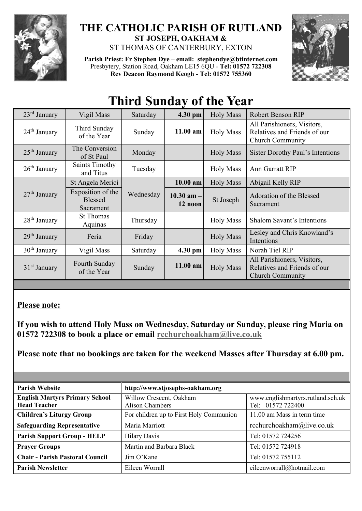

## **THE CATHOLIC PARISH OF RUTLAND ST JOSEPH, OAKHAM &**  ST THOMAS OF CANTERBURY, EXTON

**Parish Priest: Fr Stephen Dye** – **[email: stephendye@btinternet.com](mailto:email:%20%20stephendye@btinternet.com)** Presbytery, Station Road, Oakham LE15 6QU - **Tel: 01572 722308 Rev Deacon Raymond Keogh - Tel: 01572 755360**



## **Third Sunday of the Year**

| $23rd$ January | Vigil Mass                                       | Saturday  | 4.30 pm                   | <b>Holy Mass</b> | <b>Robert Benson RIP</b>                                                               |
|----------------|--------------------------------------------------|-----------|---------------------------|------------------|----------------------------------------------------------------------------------------|
| $24th$ January | Third Sunday<br>of the Year                      | Sunday    | $11.00$ am                | <b>Holy Mass</b> | All Parishioners, Visitors,<br>Relatives and Friends of our<br><b>Church Community</b> |
| $25th$ January | The Conversion<br>of St Paul                     | Monday    |                           | <b>Holy Mass</b> | Sister Dorothy Paul's Intentions                                                       |
| $26th$ January | <b>Saints Timothy</b><br>and Titus               | Tuesday   |                           | <b>Holy Mass</b> | Ann Garratt RIP                                                                        |
| $27th$ January | St Angela Merici                                 | Wednesday | $10.00$ am                | <b>Holy Mass</b> | Abigail Kelly RIP                                                                      |
|                | Exposition of the<br><b>Blessed</b><br>Sacrament |           | $10.30$ am $-$<br>12 noon | St Joseph        | Adoration of the Blessed<br>Sacrament                                                  |
| $28th$ January | <b>St Thomas</b><br>Aquinas                      | Thursday  |                           | <b>Holy Mass</b> | <b>Shalom Savant's Intentions</b>                                                      |
| $29th$ January | Feria                                            | Friday    |                           | <b>Holy Mass</b> | Lesley and Chris Knowland's<br>Intentions                                              |
| $30th$ January | Vigil Mass                                       | Saturday  | 4.30 pm                   | <b>Holy Mass</b> | Norah Tiel RIP                                                                         |
| $31st$ January | Fourth Sunday<br>of the Year                     | Sunday    | $11.00$ am                | <b>Holy Mass</b> | All Parishioners, Visitors,<br>Relatives and Friends of our<br><b>Church Community</b> |

## **Please note:**

**If you wish to attend Holy Mass on Wednesday, Saturday or Sunday, please ring Maria on 01572 722308 to book a place or email [rcchurchoakham@live.co.uk](mailto:rcchurchoakham@live.co.uk)**

**Please note that no bookings are taken for the weekend Masses after Thursday at 6.00 pm.**

| <b>Parish Website</b>                                        | http://www.stjosephs-oakham.org            |                                                        |  |
|--------------------------------------------------------------|--------------------------------------------|--------------------------------------------------------|--|
| <b>English Martyrs Primary School</b><br><b>Head Teacher</b> | Willow Crescent, Oakham<br>Alison Chambers | www.englishmartyrs.rutland.sch.uk<br>Tel: 01572 722400 |  |
| <b>Children's Liturgy Group</b>                              | For children up to First Holy Communion    | 11.00 am Mass in term time                             |  |
| <b>Safeguarding Representative</b>                           | Maria Marriott                             | rcchurchoakham@live.co.uk                              |  |
| <b>Parish Support Group - HELP</b>                           | <b>Hilary Davis</b>                        | Tel: 01572 724256                                      |  |
| <b>Prayer Groups</b>                                         | Martin and Barbara Black                   | Tel: 01572 724918                                      |  |
| <b>Chair - Parish Pastoral Council</b>                       | Jim O'Kane                                 | Tel: 01572 755112                                      |  |
| <b>Parish Newsletter</b>                                     | Eileen Worrall                             | eileenworrall@hotmail.com                              |  |